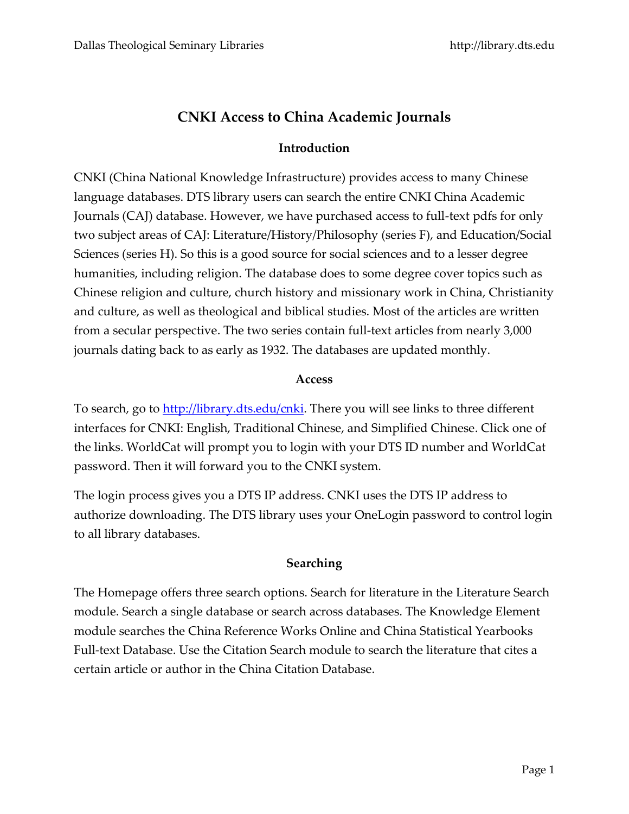# **CNKI Access to China Academic Journals**

## **Introduction**

CNKI (China National Knowledge Infrastructure) provides access to many Chinese language databases. DTS library users can search the entire CNKI China Academic Journals (CAJ) database. However, we have purchased access to full-text pdfs for only two subject areas of CAJ: Literature/History/Philosophy (series F), and Education/Social Sciences (series H). So this is a good source for social sciences and to a lesser degree humanities, including religion. The database does to some degree cover topics such as Chinese religion and culture, church history and missionary work in China, Christianity and culture, as well as theological and biblical studies. Most of the articles are written from a secular perspective. The two series contain full-text articles from nearly 3,000 journals dating back to as early as 1932. The databases are updated monthly.

#### **Access**

To search, go to [http://library.dts.edu/cnki.](http://library.dts.edu/cnki) There you will see links to three different interfaces for CNKI: English, Traditional Chinese, and Simplified Chinese. Click one of the links. WorldCat will prompt you to login with your DTS ID number and WorldCat password. Then it will forward you to the CNKI system.

The login process gives you a DTS IP address. CNKI uses the DTS IP address to authorize downloading. The DTS library uses your OneLogin password to control login to all library databases.

## **Searching**

The Homepage offers three search options. Search for literature in the Literature Search module. Search a single database or search across databases. The Knowledge Element module searches the China Reference Works Online and China Statistical Yearbooks Full-text Database. Use the Citation Search module to search the literature that cites a certain article or author in the China Citation Database.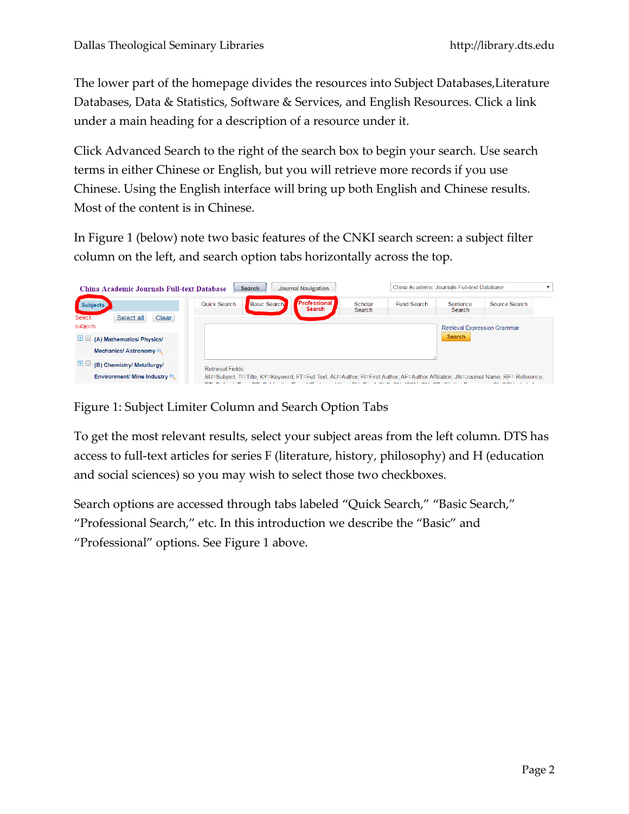The lower part of the homepage divides the resources into Subject Databases,Literature Databases, Data & Statistics, Software & Services, and English Resources. Click a link under a main heading for a description of a resource under it.

Click Advanced Search to the right of the search box to begin your search. Use search terms in either Chinese or English, but you will retrieve more records if you use Chinese. Using the English interface will bring up both English and Chinese results. Most of the content is in Chinese.

In Figure 1 (below) note two basic features of the CNKI search screen: a subject filter column on the left, and search option tabs horizontally across the top.

| <b>China Academic Journals Full-text Database</b> | <b>Journal Navigation</b><br><b>Search</b>                                                                                         |                   | China Academic Journals Full-text Database                            |                                     |               |
|---------------------------------------------------|------------------------------------------------------------------------------------------------------------------------------------|-------------------|-----------------------------------------------------------------------|-------------------------------------|---------------|
| <b>Subjects</b><br>Select<br>Select all<br>Clear  | <b>Professional</b><br>Basic Search<br>Quick Search<br><b>Search</b>                                                               | Scholar<br>Search | <b>Fund Search</b>                                                    | Sentence<br>Search                  | Source Search |
| subjects                                          |                                                                                                                                    |                   |                                                                       | <b>Retrieval Expression Grammar</b> |               |
| $+$ $-$<br>(A) Mathematics/ Physics/              |                                                                                                                                    |                   |                                                                       | <b>Search</b>                       |               |
| Mechanics/ Astronomy                              |                                                                                                                                    |                   |                                                                       |                                     |               |
| $+$ $-$<br>(B) Chemistry/ Metallurgy/             | Retrieval Fields:                                                                                                                  |                   |                                                                       |                                     |               |
| <b>Environment/ Mine Industry Q</b>               | SU=Subject, TI=Title, KY=Keyword, FT=Full Text, AU=Author, FI=First Author, AF=Author Affiliation, JN=Journal Name, RF= Reference, |                   | $Q(A)$ $Q(A)$ $Q(A)$ $Q(A)$ $Q(A)$ $Q(A)$ $Q(A)$ $Q(A)$ $Q(A)$ $Q(A)$ |                                     | $Q_1$ $Q_2$   |

Figure 1: Subject Limiter Column and Search Option Tabs

To get the most relevant results, select your subject areas from the left column. DTS has access to full-text articles for series F (literature, history, philosophy) and H (education and social sciences) so you may wish to select those two checkboxes.

Search options are accessed through tabs labeled "Quick Search," "Basic Search," "Professional Search," etc. In this introduction we describe the "Basic" and "Professional" options. See Figure 1 above.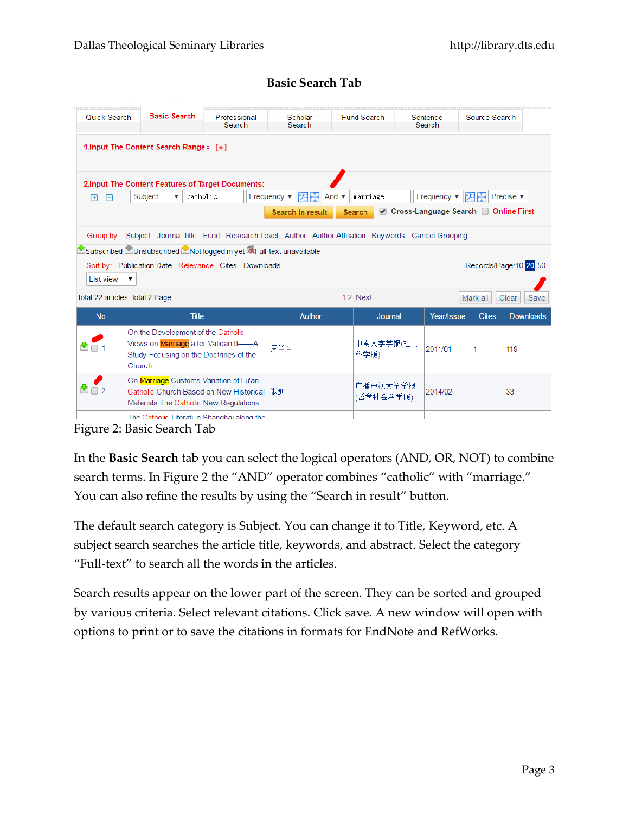### **Basic Search Tab**

| Quick Search                    | <b>Basic Search</b>                                               | Professional<br>Search | Scholar<br>Search                                                                                      | <b>Fund Search</b> | Sentence<br>Search                  | Source Search |                        |
|---------------------------------|-------------------------------------------------------------------|------------------------|--------------------------------------------------------------------------------------------------------|--------------------|-------------------------------------|---------------|------------------------|
|                                 | 1. Input The Content Search Range: [+]                            |                        |                                                                                                        |                    |                                     |               |                        |
|                                 | 2. Input The Content Features of Target Documents:                |                        |                                                                                                        |                    |                                     |               |                        |
| 日<br>曱                          | Subject<br>catholic<br>$\boldsymbol{\mathrm{v}}$                  |                        | Frequency ▼<br> 23  分 <br>And                                                                          | marriage           | Frequency $\blacktriangledown$      | DER EN        | Precise $\mathbf{v}$   |
|                                 |                                                                   |                        | Search in result                                                                                       | <b>Search</b>      | Cross-Language Search Conline First |               |                        |
|                                 |                                                                   |                        |                                                                                                        |                    |                                     |               |                        |
|                                 |                                                                   |                        | Group by: Subject Journal Title Fund Research Level Author Author Affiliation Keywords Cancel Grouping |                    |                                     |               |                        |
|                                 | Subscribed MUnsubscribed Mot logged in yet RFull-text unavailable |                        |                                                                                                        |                    |                                     |               |                        |
|                                 | Sort by: Publication Date Relevance Cites Downloads               |                        |                                                                                                        |                    |                                     |               | Records/Page: 10 20 50 |
| List view $\mathbf{v}$          |                                                                   |                        |                                                                                                        |                    |                                     |               |                        |
|                                 |                                                                   |                        |                                                                                                        |                    |                                     |               |                        |
| Total: 22 articles total 2 Page |                                                                   |                        |                                                                                                        | 12 Next            |                                     | Mark all      | Clear<br>Save          |
| No.                             | <b>Title</b>                                                      |                        | <b>Author</b>                                                                                          | Journal            | Year/Issue                          | <b>Cites</b>  | <b>Downloads</b>       |
|                                 | On the Development of the Catholic                                |                        |                                                                                                        |                    |                                     |               |                        |
|                                 | Views on Marriage after Vatican II-A                              |                        | 周兰兰                                                                                                    | 中南大学学报(社会          | 2011/01                             | 1             | 119                    |
|                                 | Study Focusing on the Doctrines of the                            |                        |                                                                                                        | 科学版)               |                                     |               |                        |
|                                 | Church                                                            |                        |                                                                                                        |                    |                                     |               |                        |
|                                 | On Marriage Customs Variation of Lu'an                            |                        |                                                                                                        | 广播电视大学学报           |                                     |               |                        |
| $\bullet$ $\Box$ 2              | Catholic Church Based on New Historical  张剑                       |                        |                                                                                                        | (哲学社会科学版)          | 2014/02                             |               | 33                     |
|                                 | Materials The Catholic New Regulations                            |                        |                                                                                                        |                    |                                     |               |                        |
|                                 | The Catholic Literati in Shanghai along the                       |                        |                                                                                                        |                    |                                     |               |                        |

Figure 2: Basic Search Tab

In the **Basic Search** tab you can select the logical operators (AND, OR, NOT) to combine search terms. In Figure 2 the "AND" operator combines "catholic" with "marriage." You can also refine the results by using the "Search in result" button.

The default search category is Subject. You can change it to Title, Keyword, etc. A subject search searches the article title, keywords, and abstract. Select the category "Full-text" to search all the words in the articles.

Search results appear on the lower part of the screen. They can be sorted and grouped by various criteria. Select relevant citations. Click save. A new window will open with options to print or to save the citations in formats for EndNote and RefWorks.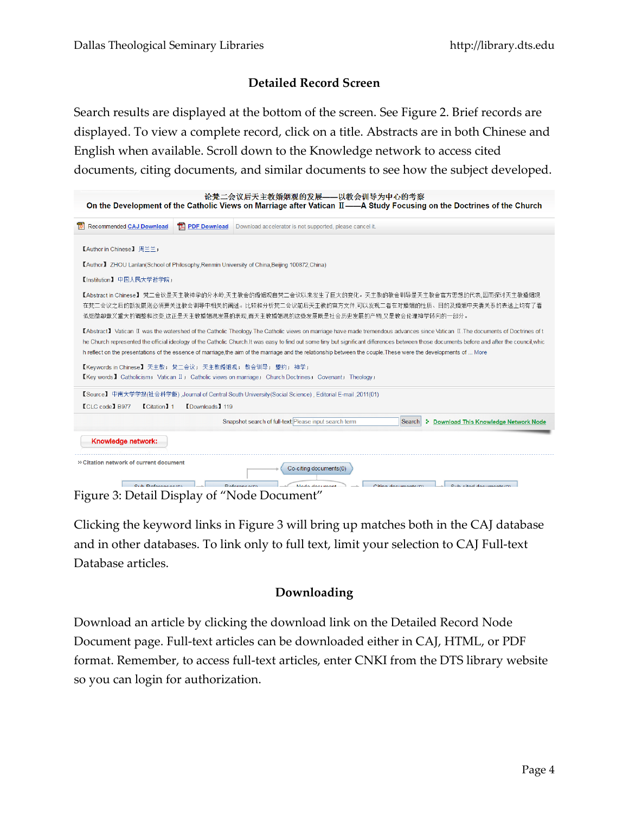## **Detailed Record Screen**

Search results are displayed at the bottom of the screen. See Figure 2. Brief records are displayed. To view a complete record, click on a title. Abstracts are in both Chinese and English when available. Scroll down to the Knowledge network to access cited documents, citing documents, and similar documents to see how the subject developed.

| On the Development of the Catholic Views on Marriage after Vatican II——A Study Focusing on the Doctrines of the Church                                                                                                                                                                                                                                                                                                                                                                                                                              |                        | 论梵二会议后天主教婚姻观的发展——以教会训导为中心的考察                             |                                         |  |                           |                                               |  |
|-----------------------------------------------------------------------------------------------------------------------------------------------------------------------------------------------------------------------------------------------------------------------------------------------------------------------------------------------------------------------------------------------------------------------------------------------------------------------------------------------------------------------------------------------------|------------------------|----------------------------------------------------------|-----------------------------------------|--|---------------------------|-----------------------------------------------|--|
| Recommended CAJ Download                                                                                                                                                                                                                                                                                                                                                                                                                                                                                                                            | <b>TA PDF Download</b> | Download accelerator is not supported, please cancel it. |                                         |  |                           |                                               |  |
| 【Author in Chinese】 周兰兰;                                                                                                                                                                                                                                                                                                                                                                                                                                                                                                                            |                        |                                                          |                                         |  |                           |                                               |  |
| [Author] ZHOU Lanlan(School of Philosophy, Renmin University of China, Beijing 100872, China)                                                                                                                                                                                                                                                                                                                                                                                                                                                       |                        |                                                          |                                         |  |                           |                                               |  |
| 【Institution】 中国人民大学哲学院:                                                                                                                                                                                                                                                                                                                                                                                                                                                                                                                            |                        |                                                          |                                         |  |                           |                                               |  |
| 【Abstract in Chinese】 梵二会议是天主教神学的分水岭,天主教会的婚姻观自梵二会议以来发生了巨大的变化。天主教的教会训导是天主教会官方思想的代表,因而探讨天主教婚姻观<br>在梵二会议之后的新发展则必须要关注教会训导中相关的阐述。比较和分析梵二会议前后天主教的官方文件,可以发现二者在对婚姻的性质、目的及婚姻中夫妻关系的表述上均有了看<br>似细微却意义重大的调整和改变,这正是天主教婚姻观发展的表现,而天主教婚姻观的这些发展既是社会历史发展的产物,又是教会伦理神学转向的一部分。                                                                                                                                                                                                                                                                                           |                        |                                                          |                                         |  |                           |                                               |  |
| KAbstract】 Vatican II was the watershed of the Catholic Theology. The Catholic views on marriage have made tremendous advances since Vatican II. The documents of Doctrines of t<br>he Church represented the official ideology of the Catholic Church. It was easy to find out some tiny but significant differences between those documents before and after the council whic<br>h reflect on the presentations of the essence of marriage, the aim of the marriage and the relationship between the couple. These were the developments of  More |                        |                                                          |                                         |  |                           |                                               |  |
| 【Keywords in Chinese】 天主教; 梵二会议; 天主教婚姻观; 教会训导; 盟约; 神学;<br>[Key words] Catholicism; Vatican II; Catholic views on marriage; Church Doctrines; Covenant; Theology;                                                                                                                                                                                                                                                                                                                                                                                    |                        |                                                          |                                         |  |                           |                                               |  |
| 【Source】 中南大学学报(社会科学版),Journal of Central South University(Social Science), Editorial E-mail ,2011(01)                                                                                                                                                                                                                                                                                                                                                                                                                                              |                        |                                                          |                                         |  |                           |                                               |  |
| <b>CLC</b> code 1 B977<br><b>Citation</b> 1                                                                                                                                                                                                                                                                                                                                                                                                                                                                                                         | <b>[Downloads] 119</b> |                                                          |                                         |  |                           |                                               |  |
|                                                                                                                                                                                                                                                                                                                                                                                                                                                                                                                                                     |                        | Snapshot search of full-text: Please input search term   |                                         |  | Search                    | <b>1</b> Download This Knowledge Network Node |  |
| Knowledge network:                                                                                                                                                                                                                                                                                                                                                                                                                                                                                                                                  |                        |                                                          |                                         |  |                           |                                               |  |
| <sup>26</sup> Citation network of current document<br>Sub Peferonces(0)<br>$\cdots$ $\sim$ $\cdots$                                                                                                                                                                                                                                                                                                                                                                                                                                                 | (1)                    | Doforoneo(0)                                             | Co-citing documents(0)<br>Modo document |  | $O$ iting doormonto $(0)$ | Only alfad degreements (0)                    |  |

Figure 3: Detail Display of "Node Document"

Clicking the keyword links in Figure 3 will bring up matches both in the CAJ database and in other databases. To link only to full text, limit your selection to CAJ Full-text Database articles.

## **Downloading**

Download an article by clicking the download link on the Detailed Record Node Document page. Full-text articles can be downloaded either in CAJ, HTML, or PDF format. Remember, to access full-text articles, enter CNKI from the DTS library website so you can login for authorization.